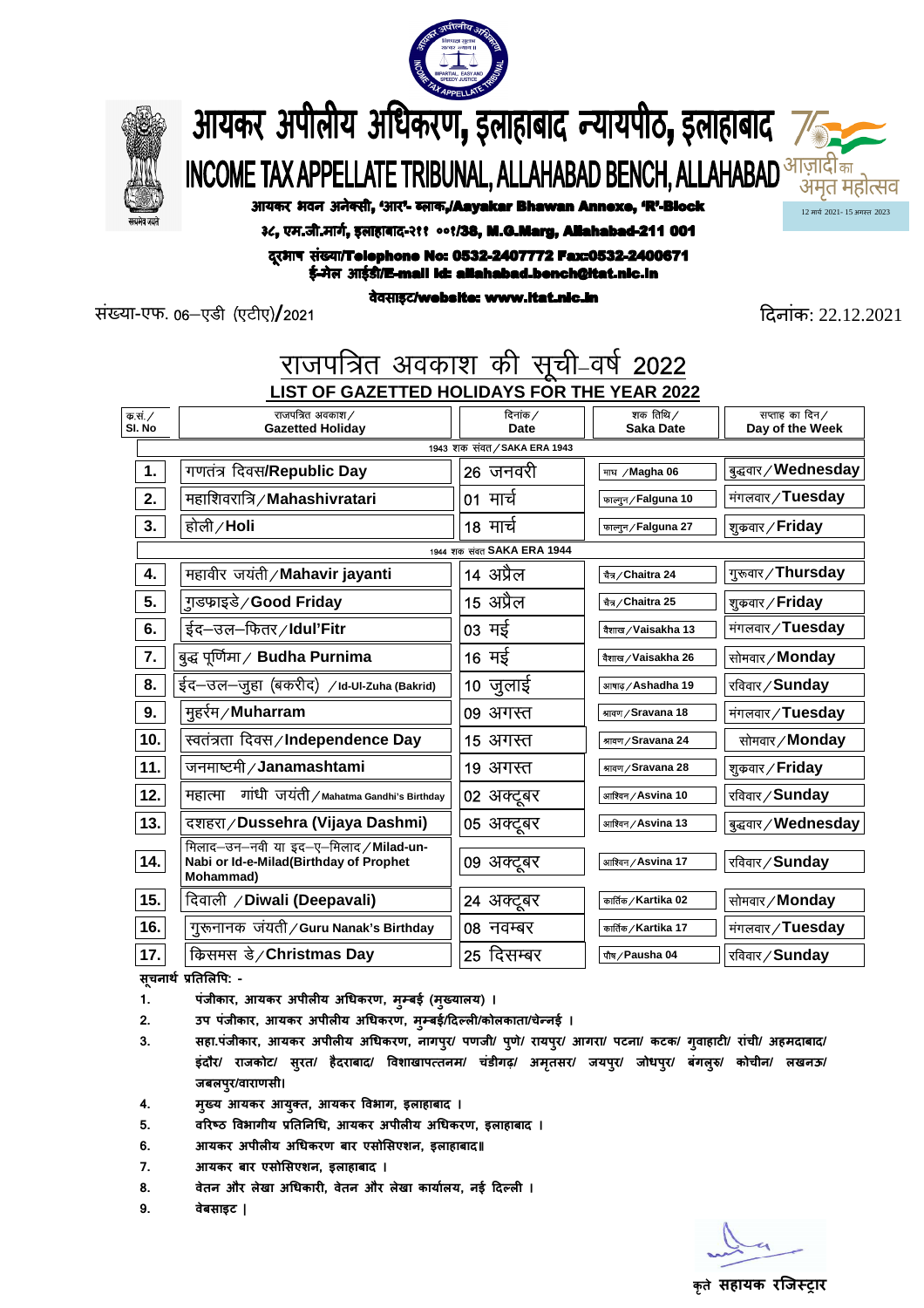



आयकर अपीलीय अधिकरण, इलाहाबाद न्यायपीठ, इलाहाबाद 7⁄ **INCOME TAX APPELLATE TRIBUNAL, ALLAHABAD BENCH, ALLAHABAD** *STERIE* **FRIBUNAL, ALLAHABAD STRIEF** अमृत महोत्सव

आयकर भवन अनेक्सी, 'आर'- ब्लाक,/Aayakar Bhawan Annexe, 'R'-Block

3८, एम.जी.मार्ग, इलाहाबाद-२११ ००१/38, M.G.Marg, Allahabad-211 001

दूरभाष संख्या/Telephone No: 0532-2407772 Fax:0532-2400671 ई-मेल आईडी/E-mail id: allahabad.bench@itat.nic.in

संया-एफ. 06&,Mh ¼,Vh,½**/**2021 दनांक: 22.12.2021

12 माच 2021- 15 अगत 2023

| राजपत्रित अवकाश की सूची-वर्ष 2022           |                                                                                                       |                  |                               |                                      |
|---------------------------------------------|-------------------------------------------------------------------------------------------------------|------------------|-------------------------------|--------------------------------------|
| LIST OF GAZETTED HOLIDAYS FOR THE YEAR 2022 |                                                                                                       |                  |                               |                                      |
| —<br>क.सं. /<br>SI. No                      | राजपत्रित अवकाश /<br><b>Gazetted Holiday</b>                                                          | दिनांक /<br>Date | शक तिथि ∕<br><b>Saka Date</b> | सप्ताह का दिन $/$<br>Day of the Week |
| 1943 शक संवत / SAKA ERA 1943                |                                                                                                       |                  |                               |                                      |
| 1.                                          | गणतंत्र दिवस/Republic Day                                                                             | 26 जनवरी         | माघ / Magha 06                | बुद्धवार / Wednesday                 |
| 2.                                          | महाशिवरात्रि / Mahashivratari                                                                         | 01 मार्च         | फालान/Falguna 10              | मंगलवार/Tuesday                      |
| 3.                                          | होली/Holi                                                                                             | 18 मार्च         | फालान / Falguna 27            | शुक्रवार / Friday                    |
| 1944 शक संवत SAKA ERA 1944                  |                                                                                                       |                  |                               |                                      |
| 4.                                          | महावीर जयंती / Mahavir jayanti                                                                        | 14 अप्रैल        | चैत्र / Chaitra 24            | गुरूवार / Thursday                   |
| 5.                                          | ग़ुडफ़ाइडे ∕ Good Friday                                                                              | 15 अप्रैल        | चैत्र/Chaitra 25              | शुक्रवार / Friday                    |
| 6.                                          | ईद–उल–फितर/Idul'Fitr                                                                                  | 03 मई            | वैशाख / Vaisakha 13           | मंगलवार / Tuesday                    |
| 7.                                          | बुद्ध पूर्णिमा ⁄Budha Purnima                                                                         | 16 मई            | वैशाख/Vaisakha 26             | सोमवार / Monday                      |
| 8.                                          | ईद—उल—जुहा (बकरीद) /Id-UI-Zuha (Bakrid)                                                               | 10 जुलाई         | आषाढ / Ashadha 19             | रविवार / Sunday                      |
| 9.                                          | मूहर्रम ⁄ Muharram                                                                                    | 09 अगस्त         | श्रावण / Sravana 18           | मंगलवार / Tuesday                    |
| 10.                                         | स्वतंत्रता दिवस ∕ Independence Day                                                                    | 15 अगस्त         | श्रावण / Sravana 24           | सोमवार/Monday                        |
| 11.                                         | जनमाष्टमी / Janamashtami                                                                              | 19 अगस्त         | श्रावण / Sravana 28           | शुक्रवार / Friday                    |
| 12.                                         | गांधी जयंती/Mahatma Gandhi's Birthday<br>महात्मा                                                      | 02 अक्टूबर       | आश्विन / Asvina 10            | रविवार/Sunday                        |
| 13.                                         | दशहरा/Dussehra (Vijaya Dashmi)                                                                        | 05 अक्टूबर       | आश्विन / Asvina 13            | बुद्धवार / Wednesday                 |
| 14.                                         | मिलाद-उन-नवी या इद-ए-मिलाद / Milad-un-<br>Nabi or Id-e-Milad(Birthday of Prophet<br><b>Mohammad</b> ) | 09 अक्टूबर       | आश्विन / Asvina 17            | रविवार/Sunday                        |
| 15.                                         | दिवाली / Diwali (Deepavali)                                                                           | 24 अक्टूबर       | कार्तिक / Kartika 02          | सोमवार / Monday                      |
| 16.                                         | गुरूनानक जयती/Guru Nanak's Birthday                                                                   | 08 नवम्बर        | कार्तिक / Kartika 17          | मंगलवार/Tuesday                      |
| 17.                                         | किसमस डे/Christmas Day                                                                                | 25 दिसम्बर       | पौष ⁄ Pausha 04               | रविवार / Sunday                      |

सूचनाथे प्रति**लिपि:** -

- 1. पंजीकार, आयकर अपीलीय अधिकरण, मुम्बई (मुख्यालय) ।
- 2. **उप पंजीकार, आयकर अपीलीय अधिकरण, म्**म्बई/दिल्ली/कोलकाता/चेन्नई ।
- **3. सहा.पंजीकार, आयकर अपीलय अधकरण, नागपर/ पणजी/ प ु णे/ रायप ु र/ आगरा/ पटना/ कटक/ ग ु ुवाहाट/ रांची/ अहमदाबाद/**  इंदौर/ राजकोट/ सुरत/ हैदराबाद/ विशाखापत्तनम/ चंडीगढ़/ अमृतसर/ जयपुर/ जोधपुर/ बंगलुरु/ कोचीन/ लखनऊ/  **जबलपर/वाराणसी। ु**
- 4. मुख्य आयकर आयुक्त, आयकर विभाग, इलाहाबाद ।
- 5. वरिष्ठ विभागीय प्रतिनिधि, आयकर अपीलीय अधिकरण, इलाहाबाद ।
- **6. आयकर अपीलय अधकरण बार एसोसएशन, इलाहाबाद॥**
- **7. आयकर बार एसोसएशन, इलाहाबाद ।**
- 8. वेतन और लेखा अधिकारी, वेतन और लेखा कार्यालय, नई दिल्ली ।
- **9. वेबसाइट |**

कते **सहायक रजिस्टार**